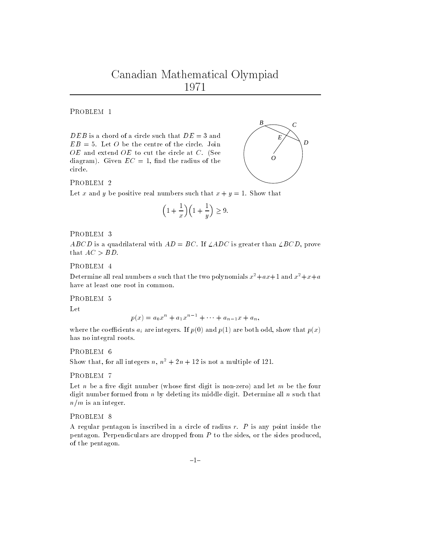PROBLEM 1

 $DEB$  is a chord of a circle such that  $DE = 3$  and  $EB = 5$ . Let O be the centre of the circle. Join  $OE$  and extend  $OE$  to cut the circle at  $C$ . (See diagram). Given  $EC = 1$ , find the radius of the circle.



Let x and y be positive real numbers such that  $x + y = 1$ . Show that

$$
\left(1+\frac{1}{x}\right)\left(1+\frac{1}{y}\right) \ge 9.
$$

PROBLEM 3

ABCD is a quadrilateral with  $AD = BC$ . If  $\angle ADC$  is greater than  $\angle BCD$ , prove that  $AC > BD$ .

Determine all real numbers a such that the two polynomials  $x^2+ax+1$  and  $x^2+x+a$ have at least one root in common.

Let

$$
p(x) = a_0 x^n + a_1 x^{n-1} + \dots + a_{n-1} x + a_n,
$$

where the coefficients  $a_i$  are integers. If  $p(0)$  and  $p(1)$  are both odd, show that  $p(x)$ has no integral roots.

PROBLEM 6

Show that, for all integers n,  $n^2 + 2n + 12$  is not a multiple of 121.

PROBLEM 7

Let *n* be a five digit number (whose first digit is non-zero) and let *m* be the four digit number formed from  $n$  by deleting its middle digit. Determine all  $n$  such that  $n/m$  is an integer.

PROBLEM<sub>8</sub>

A regular pentagon is inscribed in a circle of radius  $r$ .  $P$  is any point inside the pentagon. Perpendiculars are dropped from  $P$  to the sides, or the sides produced, of the pentagon.